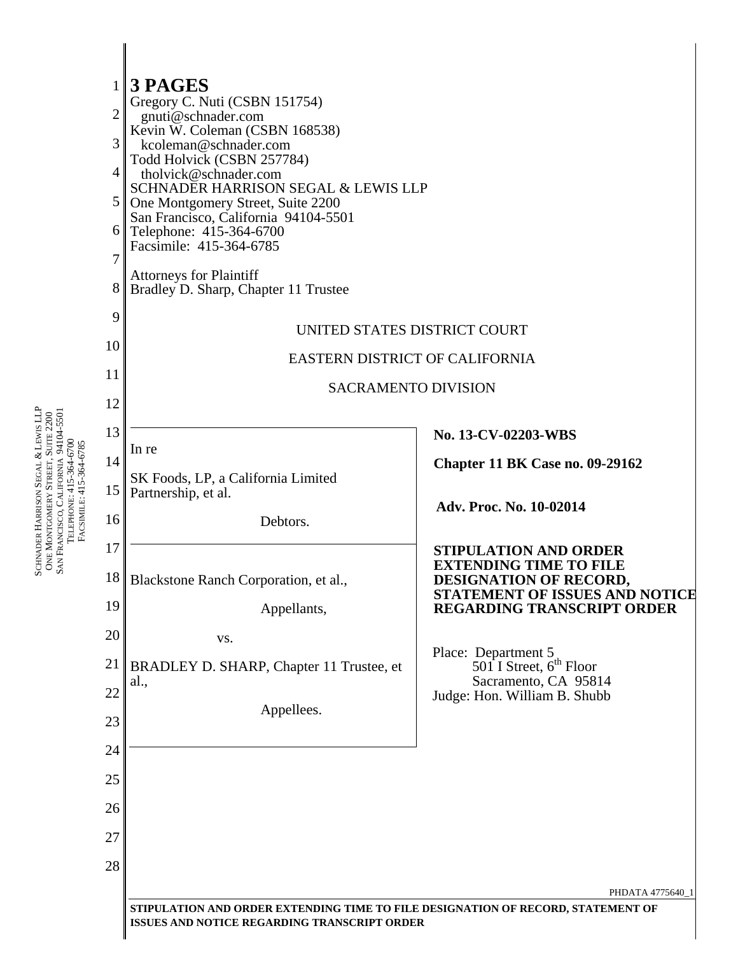

SCHNADER HARRISON SEGAL ⊗ ∨ LEWIS LLP ONE MONTGOMERY STREET, SUITE 2200 SAN FRANCISCO, CALIFORNIA 94104-5501 TELEPHONE: 415-364-6700 FACSIMILE: 415-364-6785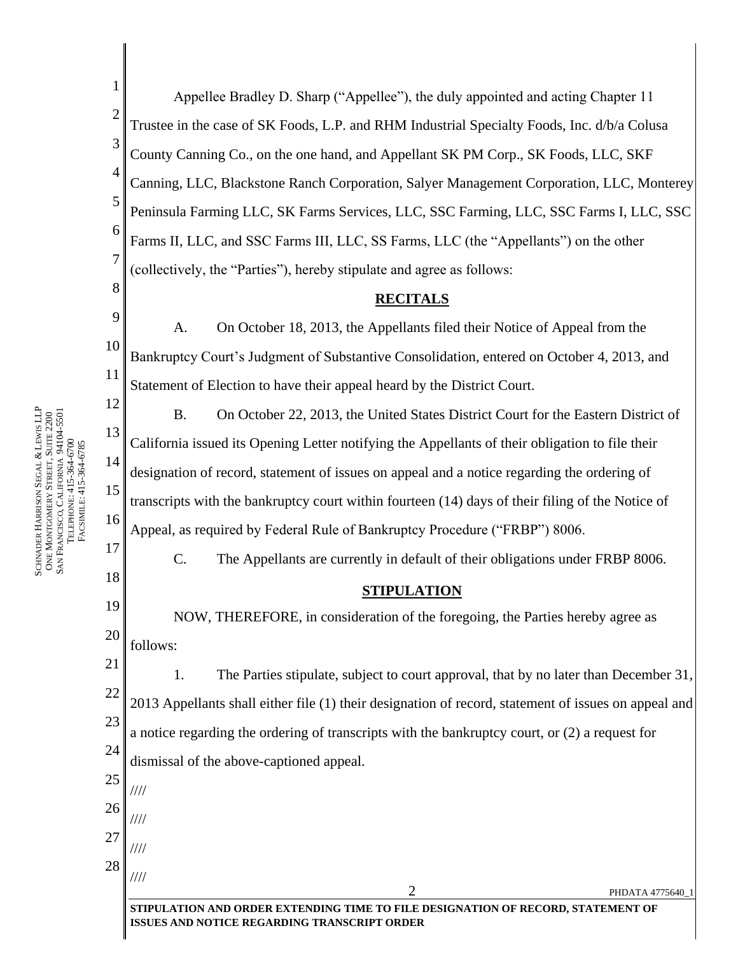1 2 3 4 5 6 7 8 9 10 11 12 13 14 15 16 17 18 19 20 21 22 23 24 25 26 27 28  $2$  PHDATA 4775640\_1 **STIPULATION AND ORDER EXTENDING TIME TO FILE DESIGNATION OF RECORD, STATEMENT OF**  Appellee Bradley D. Sharp ("Appellee"), the duly appointed and acting Chapter 11 Trustee in the case of SK Foods, L.P. and RHM Industrial Specialty Foods, Inc. d/b/a Colusa County Canning Co., on the one hand, and Appellant SK PM Corp., SK Foods, LLC, SKF Canning, LLC, Blackstone Ranch Corporation, Salyer Management Corporation, LLC, Monterey Peninsula Farming LLC, SK Farms Services, LLC, SSC Farming, LLC, SSC Farms I, LLC, SSC Farms II, LLC, and SSC Farms III, LLC, SS Farms, LLC (the "Appellants") on the other (collectively, the "Parties"), hereby stipulate and agree as follows: **RECITALS** A. On October 18, 2013, the Appellants filed their Notice of Appeal from the Bankruptcy Court's Judgment of Substantive Consolidation, entered on October 4, 2013, and Statement of Election to have their appeal heard by the District Court. B. On October 22, 2013, the United States District Court for the Eastern District of California issued its Opening Letter notifying the Appellants of their obligation to file their designation of record, statement of issues on appeal and a notice regarding the ordering of transcripts with the bankruptcy court within fourteen (14) days of their filing of the Notice of Appeal, as required by Federal Rule of Bankruptcy Procedure ("FRBP") 8006. C. The Appellants are currently in default of their obligations under FRBP 8006. **STIPULATION** NOW, THEREFORE, in consideration of the foregoing, the Parties hereby agree as follows: 1. The Parties stipulate, subject to court approval, that by no later than December 31, 2013 Appellants shall either file (1) their designation of record, statement of issues on appeal and a notice regarding the ordering of transcripts with the bankruptcy court, or (2) a request for dismissal of the above-captioned appeal. //// //// //// ////